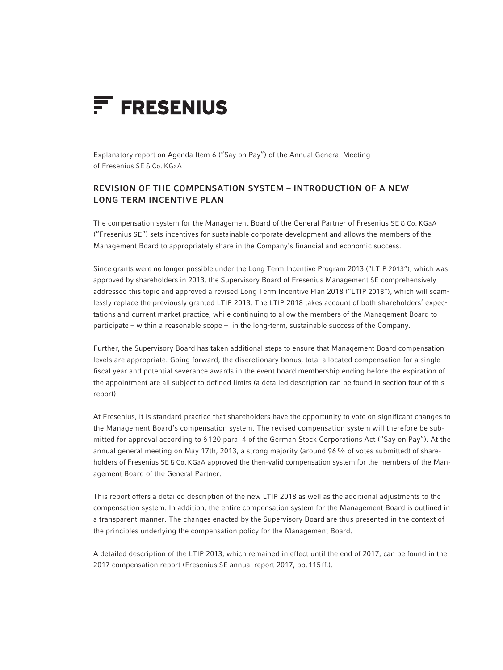

Explanatory report on Agenda Item 6 ("Say on Pay") of the Annual General Meeting of Fresenius SE & Co. KGaA

# Revision of the compensation system – Introduction of a new Long term Incentive Plan

The compensation system for the Management Board of the General Partner of Fresenius SE & Co. KGaA ("Fresenius SE") sets incentives for sustainable corporate development and allows the members of the Management Board to appropriately share in the Company's financial and economic success.

Since grants were no longer possible under the Long Term Incentive Program 2013 ("LTIP 2013"), which was approved by shareholders in 2013, the Supervisory Board of Fresenius Management SE comprehensively addressed this topic and approved a revised Long Term Incentive Plan 2018 ("LTIP 2018"), which will seamlessly replace the previously granted LTIP 2013. The LTIP 2018 takes account of both shareholders' expectations and current market practice, while continuing to allow the members of the Management Board to participate – within a reasonable scope – in the long-term, sustainable success of the Company.

Further, the Supervisory Board has taken additional steps to ensure that Management Board compensation levels are appropriate. Going forward, the discretionary bonus, total allocated compensation for a single fiscal year and potential severance awards in the event board membership ending before the expiration of the appointment are all subject to defined limits (a detailed description can be found in section four of this report).

At Fresenius, it is standard practice that shareholders have the opportunity to vote on significant changes to the Management Board's compensation system. The revised compensation system will therefore be submitted for approval according to §120 para. 4 of the German Stock Corporations Act ("Say on Pay"). At the annual general meeting on May 17th, 2013, a strong majority (around 96% of votes submitted) of shareholders of Fresenius SE & Co. KGaA approved the then-valid compensation system for the members of the Management Board of the General Partner.

This report offers a detailed description of the new LTIP 2018 as well as the additional adjustments to the compensation system. In addition, the entire compensation system for the Management Board is outlined in a transparent manner. The changes enacted by the Supervisory Board are thus presented in the context of the principles underlying the compensation policy for the Management Board.

A detailed description of the LTIP 2013, which remained in effect until the end of 2017, can be found in the 2017 compensation report (Fresenius SE annual report 2017, pp.115ff.).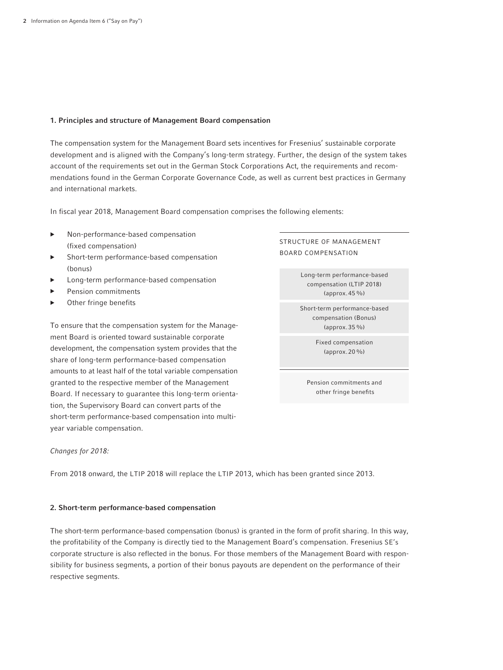# 1. Principles and structure of Management Board compensation

The compensation system for the Management Board sets incentives for Fresenius' sustainable corporate development and is aligned with the Company's long-term strategy. Further, the design of the system takes account of the requirements set out in the German Stock Corporations Act, the requirements and recommendations found in the German Corporate Governance Code, as well as current best practices in Germany and international markets.

In fiscal year 2018, Management Board compensation comprises the following elements:

- ▶ Non-performance-based compensation (fixed compensation)
- Short-term performance-based compensation (bonus)
- Long-term performance-based compensation
- Pension commitments
- Other fringe benefits

To ensure that the compensation system for the Management Board is oriented toward sustainable corporate development, the compensation system provides that the share of long-term performance-based compensation amounts to at least half of the total variable compensation granted to the respective member of the Management Board. If necessary to guarantee this long-term orientation, the Supervisory Board can convert parts of the short-term performance-based compensation into multiyear variable compensation.

# Structure of Management Board compensation

Long-term performance-based compensation (LTIP 2018) (approx.45%)

Short-term performance-based compensation (Bonus) (approx.35%)

> Fixed compensation (approx.20%)

Pension commitments and other fringe benefits

# *Changes for 2018:*

From 2018 onward, the LTIP 2018 will replace the LTIP 2013, which has been granted since 2013.

# 2. Short-term performance-based compensation

The short-term performance-based compensation (bonus) is granted in the form of profit sharing. In this way, the profitability of the Company is directly tied to the Management Board's compensation. Fresenius SE's corporate structure is also reflected in the bonus. For those members of the Management Board with responsibility for business segments, a portion of their bonus payouts are dependent on the performance of their respective segments.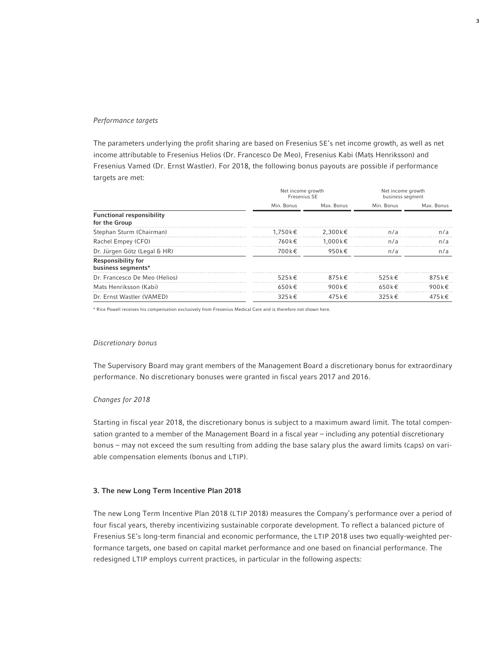# *Performance targets*

The parameters underlying the profit sharing are based on Fresenius SE's net income growth, as well as net income attributable to Fresenius Helios (Dr. Francesco De Meo), Fresenius Kabi (Mats Henriksson) and Fresenius Vamed (Dr. Ernst Wastler). For 2018, the following bonus payouts are possible if performance targets are met:

|                                                   | Net income growth<br>Fresenius SE |                     | Net income growth<br>business segment |                     |
|---------------------------------------------------|-----------------------------------|---------------------|---------------------------------------|---------------------|
|                                                   | Min. Bonus                        | Max. Bonus          | Min. Bonus                            | Max. Bonus          |
| <b>Functional responsibility</b><br>for the Group |                                   |                     |                                       |                     |
| Stephan Sturm (Chairman)                          | 1.750 k€                          | $2.300k \in$        | n/a                                   | n/a                 |
| Rachel Empey (CFO)                                | 760 k €                           | 1.000k€             | n/a                                   | n/a                 |
| Dr. Jürgen Götz (Legal & HR)                      | 700 k €                           | 950 k€              | n/a                                   | n/a                 |
| <b>Responsibility for</b><br>business segments*   |                                   |                     |                                       |                     |
| Dr. Francesco De Meo (Helios)                     | $525 \text{ k} \in$               | $875 \text{ k} \in$ | $525k \in$                            | $875 \text{ k} \in$ |
| Mats Henriksson (Kabi)                            | $650 \text{ k} \in$               | 900 $k \in$         | 650 $k \in$                           | 900 $k \in$         |
| Dr. Ernst Wastler (VAMED)                         | $325k \in$                        | 475 k €             | $325k \in$                            | 475 k €             |

\* Rice Powell receives his compensation exclusively from Fresenius Medical Care and is therefore not shown here.

#### *Discretionary bonus*

The Supervisory Board may grant members of the Management Board a discretionary bonus for extraordinary performance. No discretionary bonuses were granted in fiscal years 2017 and 2016.

### *Changes for 2018*

Starting in fiscal year 2018, the discretionary bonus is subject to a maximum award limit. The total compensation granted to a member of the Management Board in a fiscal year – including any potential discretionary bonus – may not exceed the sum resulting from adding the base salary plus the award limits (caps) on variable compensation elements (bonus and LTIP).

## 3. The new Long Term Incentive Plan 2018

The new Long Term Incentive Plan 2018 (LTIP 2018) measures the Company's performance over a period of four fiscal years, thereby incentivizing sustainable corporate development. To reflect a balanced picture of Fresenius SE's long-term financial and economic performance, the LTIP 2018 uses two equally-weighted performance targets, one based on capital market performance and one based on financial performance. The redesigned LTIP employs current practices, in particular in the following aspects: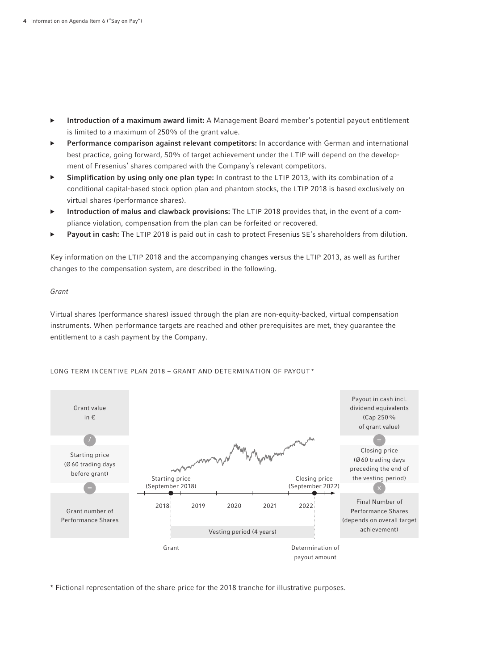- ▶ Introduction of a maximum award limit: A Management Board member's potential payout entitlement is limited to a maximum of 250% of the grant value.
- Performance comparison against relevant competitors: In accordance with German and international best practice, going forward, 50% of target achievement under the LTIP will depend on the development of Fresenius' shares compared with the Company's relevant competitors.
- ▶ Simplification by using only one plan type: In contrast to the LTIP 2013, with its combination of a conditional capital-based stock option plan and phantom stocks, the LTIP 2018 is based exclusively on virtual shares (performance shares).
- Introduction of malus and clawback provisions: The LTIP 2018 provides that, in the event of a compliance violation, compensation from the plan can be forfeited or recovered.
- Payout in cash: The LTIP 2018 is paid out in cash to protect Fresenius SE's shareholders from dilution.

Key information on the LTIP 2018 and the accompanying changes versus the LTIP 2013, as well as further changes to the compensation system, are described in the following.

# *Grant*

Virtual shares (performance shares) issued through the plan are non-equity-backed, virtual compensation instruments. When performance targets are reached and other prerequisites are met, they guarantee the entitlement to a cash payment by the Company.



# LONG TERM INCENTIVE PLAN 2018 - GRANT AND DETERMINATION OF PAYOUT<sup>\*</sup>

\* Fictional representation of the share price for the 2018 tranche for illustrative purposes.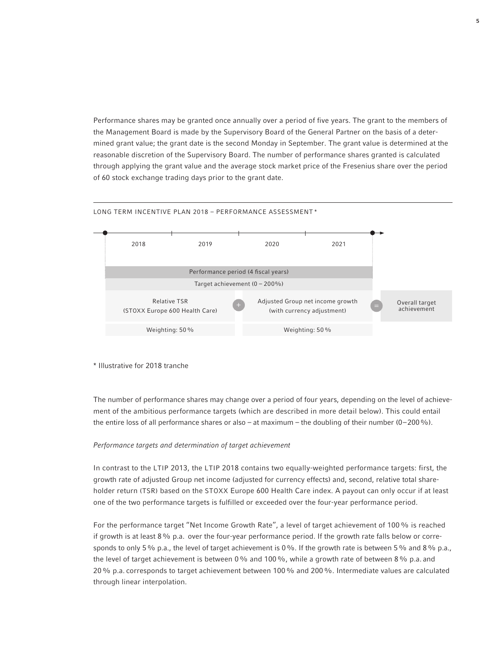Performance shares may be granted once annually over a period of five years. The grant to the members of the Management Board is made by the Supervisory Board of the General Partner on the basis of a determined grant value; the grant date is the second Monday in September. The grant value is determined at the reasonable discretion of the Supervisory Board. The number of performance shares granted is calculated through applying the grant value and the average stock market price of the Fresenius share over the period of 60 stock exchange trading days prior to the grant date.



### LONG TERM INCENTIVE PLAN 2018 - PERFORMANCE ASSESSMENT<sup>\*</sup>

#### \* Illustrative for 2018 tranche

The number of performance shares may change over a period of four years, depending on the level of achievement of the ambitious performance targets (which are described in more detail below). This could entail the entire loss of all performance shares or also – at maximum – the doubling of their number (0–200%).

### *Performance targets and determination of target achievement*

In contrast to the LTIP 2013, the LTIP 2018 contains two equally-weighted performance targets: first, the growth rate of adjusted Group net income (adjusted for currency effects) and, second, relative total shareholder return (TSR) based on the STOXX Europe 600 Health Care index. A payout can only occur if at least one of the two performance targets is fulfilled or exceeded over the four-year performance period.

For the performance target "Net Income Growth Rate", a level of target achievement of 100% is reached if growth is at least 8% p.a. over the four-year performance period. If the growth rate falls below or corresponds to only 5% p.a., the level of target achievement is 0%. If the growth rate is between 5% and 8% p.a., the level of target achievement is between 0% and 100%, while a growth rate of between 8% p.a. and 20% p.a. corresponds to target achievement between 100% and 200%. Intermediate values are calculated through linear interpolation.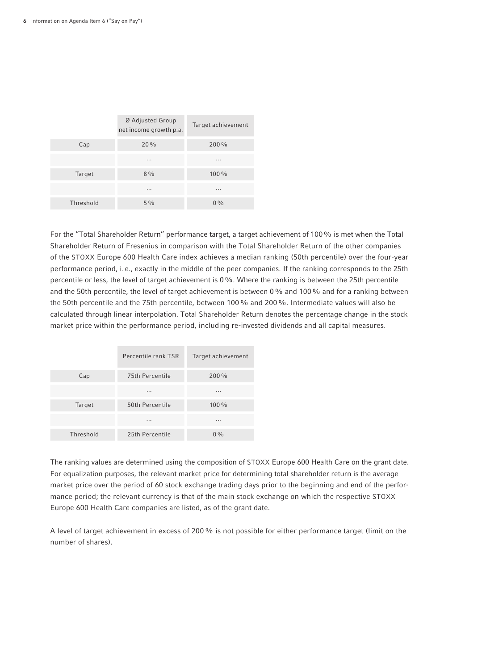|           | Ø Adjusted Group<br>net income growth p.a. | Target achievement |
|-----------|--------------------------------------------|--------------------|
| Cap       | 20%                                        | 200 %              |
|           | $\cdots$                                   | $\cdots$           |
| Target    | $8\frac{0}{0}$                             | $100\%$            |
|           | $\cdots$                                   | $\cdots$           |
| Threshold | $5\%$                                      | $0\%$              |

For the "Total Shareholder Return" performance target, a target achievement of 100% is met when the Total Shareholder Return of Fresenius in comparison with the Total Shareholder Return of the other companies of the STOXX Europe 600 Health Care index achieves a median ranking (50th percentile) over the four-year performance period, i.e., exactly in the middle of the peer companies. If the ranking corresponds to the 25th percentile or less, the level of target achievement is 0%. Where the ranking is between the 25th percentile and the 50th percentile, the level of target achievement is between 0% and 100% and for a ranking between the 50th percentile and the 75th percentile, between 100% and 200%. Intermediate values will also be calculated through linear interpolation. Total Shareholder Return denotes the percentage change in the stock market price within the performance period, including re-invested dividends and all capital measures.

|           | Percentile rank TSR | Target achievement |
|-----------|---------------------|--------------------|
| Cap       | 75th Percentile     | 200 %              |
|           | $\cdots$            | .                  |
| Target    | 50th Percentile     | 100 %              |
|           | $\cdots$            | .                  |
| Threshold | 25th Percentile     | $0\%$              |

The ranking values are determined using the composition of STOXX Europe 600 Health Care on the grant date. For equalization purposes, the relevant market price for determining total shareholder return is the average market price over the period of 60 stock exchange trading days prior to the beginning and end of the performance period; the relevant currency is that of the main stock exchange on which the respective STOXX Europe 600 Health Care companies are listed, as of the grant date.

A level of target achievement in excess of 200% is not possible for either performance target (limit on the number of shares).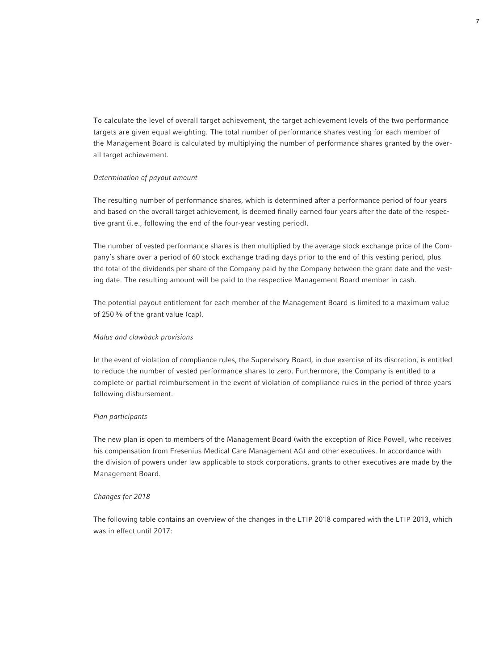To calculate the level of overall target achievement, the target achievement levels of the two performance targets are given equal weighting. The total number of performance shares vesting for each member of the Management Board is calculated by multiplying the number of performance shares granted by the overall target achievement.

# *Determination of payout amount*

The resulting number of performance shares, which is determined after a performance period of four years and based on the overall target achievement, is deemed finally earned four years after the date of the respective grant (i.e., following the end of the four-year vesting period).

The number of vested performance shares is then multiplied by the average stock exchange price of the Company's share over a period of 60 stock exchange trading days prior to the end of this vesting period, plus the total of the dividends per share of the Company paid by the Company between the grant date and the vesting date. The resulting amount will be paid to the respective Management Board member in cash.

The potential payout entitlement for each member of the Management Board is limited to a maximum value of 250% of the grant value (cap).

### *Malus and clawback provisions*

In the event of violation of compliance rules, the Supervisory Board, in due exercise of its discretion, is entitled to reduce the number of vested performance shares to zero. Furthermore, the Company is entitled to a complete or partial reimbursement in the event of violation of compliance rules in the period of three years following disbursement.

# *Plan participants*

The new plan is open to members of the Management Board (with the exception of Rice Powell, who receives his compensation from Fresenius Medical Care Management AG) and other executives. In accordance with the division of powers under law applicable to stock corporations, grants to other executives are made by the Management Board.

### *Changes for 2018*

The following table contains an overview of the changes in the LTIP 2018 compared with the LTIP 2013, which was in effect until 2017: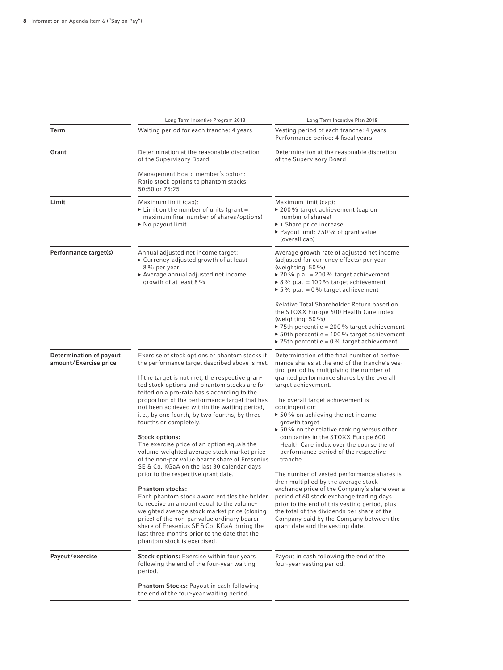|                                                  | Long Term Incentive Program 2013                                                                                                                                                                                                                                                                                                                                                                                                                                                                                                                                                                                                                                                                                                                                                                                                                                                                                                                                                                                                               | Long Term Incentive Plan 2018                                                                                                                                                                                                                                                                                                                                                                                                                                                                                                                                                                                                                                                                                                                                                                                                                                                                |
|--------------------------------------------------|------------------------------------------------------------------------------------------------------------------------------------------------------------------------------------------------------------------------------------------------------------------------------------------------------------------------------------------------------------------------------------------------------------------------------------------------------------------------------------------------------------------------------------------------------------------------------------------------------------------------------------------------------------------------------------------------------------------------------------------------------------------------------------------------------------------------------------------------------------------------------------------------------------------------------------------------------------------------------------------------------------------------------------------------|----------------------------------------------------------------------------------------------------------------------------------------------------------------------------------------------------------------------------------------------------------------------------------------------------------------------------------------------------------------------------------------------------------------------------------------------------------------------------------------------------------------------------------------------------------------------------------------------------------------------------------------------------------------------------------------------------------------------------------------------------------------------------------------------------------------------------------------------------------------------------------------------|
| Term                                             | Waiting period for each tranche: 4 years                                                                                                                                                                                                                                                                                                                                                                                                                                                                                                                                                                                                                                                                                                                                                                                                                                                                                                                                                                                                       | Vesting period of each tranche: 4 years<br>Performance period: 4 fiscal years                                                                                                                                                                                                                                                                                                                                                                                                                                                                                                                                                                                                                                                                                                                                                                                                                |
| Grant                                            | Determination at the reasonable discretion<br>of the Supervisory Board                                                                                                                                                                                                                                                                                                                                                                                                                                                                                                                                                                                                                                                                                                                                                                                                                                                                                                                                                                         | Determination at the reasonable discretion<br>of the Supervisory Board                                                                                                                                                                                                                                                                                                                                                                                                                                                                                                                                                                                                                                                                                                                                                                                                                       |
|                                                  | Management Board member's option:<br>Ratio stock options to phantom stocks<br>50:50 or 75:25                                                                                                                                                                                                                                                                                                                                                                                                                                                                                                                                                                                                                                                                                                                                                                                                                                                                                                                                                   |                                                                                                                                                                                                                                                                                                                                                                                                                                                                                                                                                                                                                                                                                                                                                                                                                                                                                              |
| Limit                                            | Maximum limit (cap):<br>Eimit on the number of units (grant =<br>maximum final number of shares/options)<br>$\triangleright$ No payout limit                                                                                                                                                                                                                                                                                                                                                                                                                                                                                                                                                                                                                                                                                                                                                                                                                                                                                                   | Maximum limit (cap):<br>▶ 200 % target achievement (cap on<br>number of shares)<br>$\blacktriangleright$ + Share price increase<br>▶ Payout limit: 250 % of grant value<br>(overall cap)                                                                                                                                                                                                                                                                                                                                                                                                                                                                                                                                                                                                                                                                                                     |
| Performance target(s)                            | Annual adjusted net income target:<br>► Currency-adjusted growth of at least<br>8% per year<br>▶ Average annual adjusted net income<br>growth of at least 8 %                                                                                                                                                                                                                                                                                                                                                                                                                                                                                                                                                                                                                                                                                                                                                                                                                                                                                  | Average growth rate of adjusted net income<br>(adjusted for currency effects) per year<br>(weighting: $50\%$ )<br>▶ 20 % p.a. = 200 % target achievement<br>▶ 8 % p.a. = 100 % target achievement<br>▶ 5% p.a. = 0% target achievement                                                                                                                                                                                                                                                                                                                                                                                                                                                                                                                                                                                                                                                       |
|                                                  |                                                                                                                                                                                                                                                                                                                                                                                                                                                                                                                                                                                                                                                                                                                                                                                                                                                                                                                                                                                                                                                | Relative Total Shareholder Return based on<br>the STOXX Europe 600 Health Care index<br>(weighting: $50\%$ )<br>$\triangleright$ 75th percentile = 200 % target achievement<br>$\triangleright$ 50th percentile = 100% target achievement<br>▶ 25th percentile = $0\%$ target achievement                                                                                                                                                                                                                                                                                                                                                                                                                                                                                                                                                                                                    |
| Determination of payout<br>amount/Exercise price | Exercise of stock options or phantom stocks if<br>the performance target described above is met.<br>If the target is not met, the respective gran-<br>ted stock options and phantom stocks are for-<br>feited on a pro-rata basis according to the<br>proportion of the performance target that has<br>not been achieved within the waiting period,<br>i.e., by one fourth, by two fourths, by three<br>fourths or completely.<br><b>Stock options:</b><br>The exercise price of an option equals the<br>volume-weighted average stock market price<br>of the non-par value bearer share of Fresenius<br>SE & Co. KGaA on the last 30 calendar days<br>prior to the respective grant date.<br><b>Phantom stocks:</b><br>Each phantom stock award entitles the holder<br>to receive an amount equal to the volume-<br>weighted average stock market price (closing<br>price) of the non-par value ordinary bearer<br>share of Fresenius SE & Co. KGaA during the<br>last three months prior to the date that the<br>phantom stock is exercised. | Determination of the final number of perfor-<br>mance shares at the end of the tranche's ves-<br>ting period by multiplying the number of<br>granted performance shares by the overall<br>target achievement.<br>The overall target achievement is<br>contingent on:<br>▶ 50% on achieving the net income<br>growth target<br>$\triangleright$ 50% on the relative ranking versus other<br>companies in the STOXX Europe 600<br>Health Care index over the course the of<br>performance period of the respective<br>tranche<br>The number of vested performance shares is<br>then multiplied by the average stock<br>exchange price of the Company's share over a<br>period of 60 stock exchange trading days<br>prior to the end of this vesting period, plus<br>the total of the dividends per share of the<br>Company paid by the Company between the<br>grant date and the vesting date. |
| Payout/exercise                                  | <b>Stock options:</b> Exercise within four years<br>following the end of the four-year waiting<br>period.                                                                                                                                                                                                                                                                                                                                                                                                                                                                                                                                                                                                                                                                                                                                                                                                                                                                                                                                      | Payout in cash following the end of the<br>four-year vesting period.                                                                                                                                                                                                                                                                                                                                                                                                                                                                                                                                                                                                                                                                                                                                                                                                                         |
|                                                  | <b>Phantom Stocks: Payout in cash following</b><br>the end of the four-year waiting period.                                                                                                                                                                                                                                                                                                                                                                                                                                                                                                                                                                                                                                                                                                                                                                                                                                                                                                                                                    |                                                                                                                                                                                                                                                                                                                                                                                                                                                                                                                                                                                                                                                                                                                                                                                                                                                                                              |